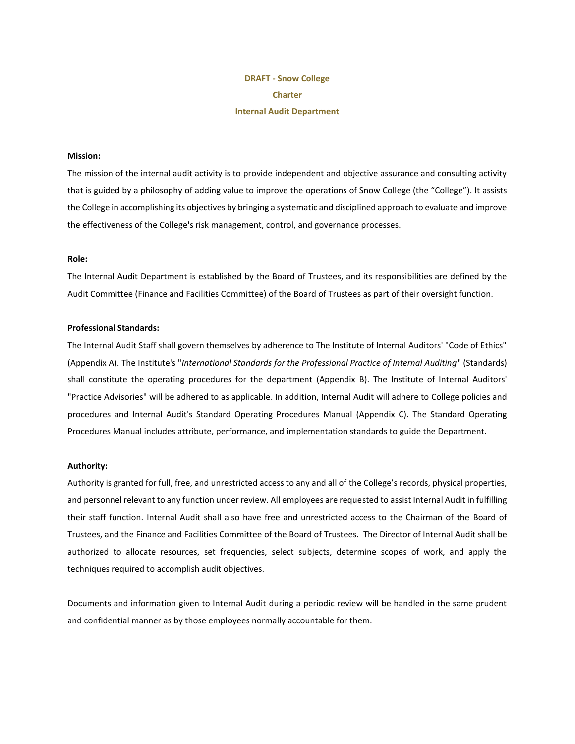# **DRAFT - Snow College Charter Internal Audit Department**

# **Mission:**

The mission of the internal audit activity is to provide independent and objective assurance and consulting activity that is guided by a philosophy of adding value to improve the operations of Snow College (the "College"). It assists the College in accomplishing its objectives by bringing a systematic and disciplined approach to evaluate and improve the effectiveness of the College's risk management, control, and governance processes.

### **Role:**

The Internal Audit Department is established by the Board of Trustees, and its responsibilities are defined by the Audit Committee (Finance and Facilities Committee) of the Board of Trustees as part of their oversight function.

#### **Professional Standards:**

The Internal Audit Staff shall govern themselves by adherence to The Institute of Internal Auditors' "Code of Ethics" (Appendix A). The Institute's "*International Standards for the Professional Practice of Internal Auditing*" (Standards) shall constitute the operating procedures for the department (Appendix B). The Institute of Internal Auditors' "Practice Advisories" will be adhered to as applicable. In addition, Internal Audit will adhere to College policies and procedures and Internal Audit's Standard Operating Procedures Manual (Appendix C). The Standard Operating Procedures Manual includes attribute, performance, and implementation standards to guide the Department.

### **Authority:**

Authority is granted for full, free, and unrestricted access to any and all of the College's records, physical properties, and personnel relevant to any function under review. All employees are requested to assist Internal Audit in fulfilling their staff function. Internal Audit shall also have free and unrestricted access to the Chairman of the Board of Trustees, and the Finance and Facilities Committee of the Board of Trustees. The Director of Internal Audit shall be authorized to allocate resources, set frequencies, select subjects, determine scopes of work, and apply the techniques required to accomplish audit objectives.

Documents and information given to Internal Audit during a periodic review will be handled in the same prudent and confidential manner as by those employees normally accountable for them.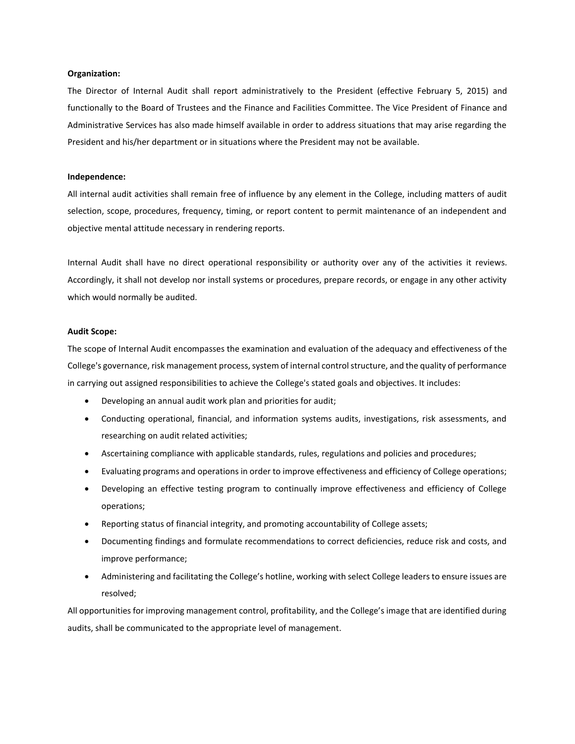#### **Organization:**

The Director of Internal Audit shall report administratively to the President (effective February 5, 2015) and functionally to the Board of Trustees and the Finance and Facilities Committee. The Vice President of Finance and Administrative Services has also made himself available in order to address situations that may arise regarding the President and his/her department or in situations where the President may not be available.

#### **Independence:**

All internal audit activities shall remain free of influence by any element in the College, including matters of audit selection, scope, procedures, frequency, timing, or report content to permit maintenance of an independent and objective mental attitude necessary in rendering reports.

Internal Audit shall have no direct operational responsibility or authority over any of the activities it reviews. Accordingly, it shall not develop nor install systems or procedures, prepare records, or engage in any other activity which would normally be audited.

#### **Audit Scope:**

The scope of Internal Audit encompasses the examination and evaluation of the adequacy and effectiveness of the College's governance, risk management process, system of internal control structure, and the quality of performance in carrying out assigned responsibilities to achieve the College's stated goals and objectives. It includes:

- Developing an annual audit work plan and priorities for audit;
- Conducting operational, financial, and information systems audits, investigations, risk assessments, and researching on audit related activities;
- Ascertaining compliance with applicable standards, rules, regulations and policies and procedures;
- Evaluating programs and operations in order to improve effectiveness and efficiency of College operations;
- Developing an effective testing program to continually improve effectiveness and efficiency of College operations;
- Reporting status of financial integrity, and promoting accountability of College assets;
- Documenting findings and formulate recommendations to correct deficiencies, reduce risk and costs, and improve performance;
- Administering and facilitating the College's hotline, working with select College leaders to ensure issues are resolved;

All opportunities for improving management control, profitability, and the College's image that are identified during audits, shall be communicated to the appropriate level of management.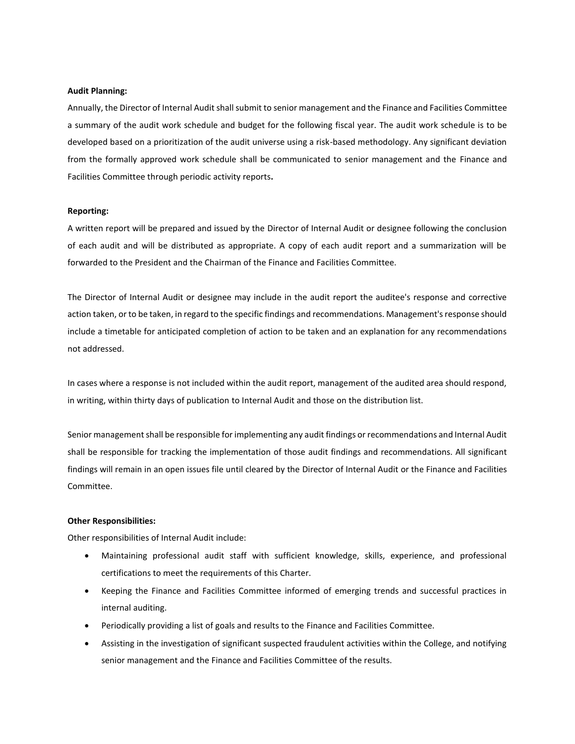# **Audit Planning:**

Annually, the Director of Internal Audit shall submit to senior management and the Finance and Facilities Committee a summary of the audit work schedule and budget for the following fiscal year. The audit work schedule is to be developed based on a prioritization of the audit universe using a risk-based methodology. Any significant deviation from the formally approved work schedule shall be communicated to senior management and the Finance and Facilities Committee through periodic activity reports**.**

#### **Reporting:**

A written report will be prepared and issued by the Director of Internal Audit or designee following the conclusion of each audit and will be distributed as appropriate. A copy of each audit report and a summarization will be forwarded to the President and the Chairman of the Finance and Facilities Committee.

The Director of Internal Audit or designee may include in the audit report the auditee's response and corrective action taken, or to be taken, in regard to the specific findings and recommendations. Management's response should include a timetable for anticipated completion of action to be taken and an explanation for any recommendations not addressed.

In cases where a response is not included within the audit report, management of the audited area should respond, in writing, within thirty days of publication to Internal Audit and those on the distribution list.

Senior management shall be responsible for implementing any audit findings or recommendations and Internal Audit shall be responsible for tracking the implementation of those audit findings and recommendations. All significant findings will remain in an open issues file until cleared by the Director of Internal Audit or the Finance and Facilities Committee.

#### **Other Responsibilities:**

Other responsibilities of Internal Audit include:

- Maintaining professional audit staff with sufficient knowledge, skills, experience, and professional certifications to meet the requirements of this Charter.
- Keeping the Finance and Facilities Committee informed of emerging trends and successful practices in internal auditing.
- Periodically providing a list of goals and results to the Finance and Facilities Committee.
- Assisting in the investigation of significant suspected fraudulent activities within the College, and notifying senior management and the Finance and Facilities Committee of the results.